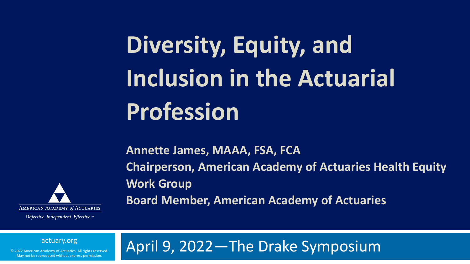# **Diversity, Equity, and Inclusion in the Actuarial Profession**

**Annette James, MAAA, FSA, FCA Chairperson, American Academy of Actuaries Health Equity Work Group Board Member, American Academy of Actuaries**



Objective. Independent. Effective.™

#### April 9, 2022—The Drake Symposium

actuary.org

© 2022 American Academy of Actuaries. All rights reserved. May not be reproduced without express permission.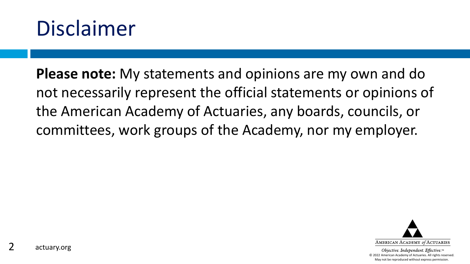#### Disclaimer

**Please note:** My statements and opinions are my own and do not necessarily represent the official statements or opinions of the American Academy of Actuaries, any boards, councils, or committees, work groups of the Academy, nor my employer.

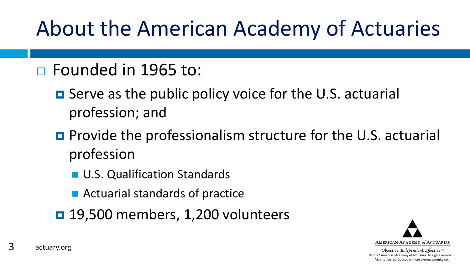## About the American Academy of Actuaries

- □ Founded in 1965 to:
	- Serve as the public policy voice for the U.S. actuarial profession; and
	- **Provide the professionalism structure for the U.S. actuarial** profession
		- **U.S. Qualification Standards**
		- Actuarial standards of practice
	- **19,500 members, 1,200 volunteers**

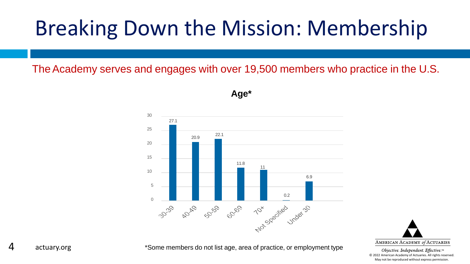The Academy serves and engages with over 19,500 members who practice in the U.S.



**Age\***



\*Some members do not list age, area of practice, or employment type

4 actuary.org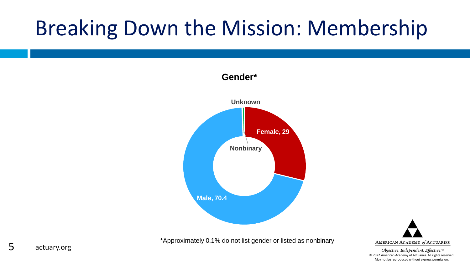#### **Gender\***





\*Approximately 0.1% do not list gender or listed as nonbinary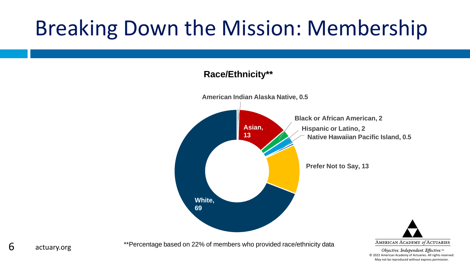#### **Race/Ethnicity\*\***



\*\*Percentage based on 22% of members who provided race/ethnicity data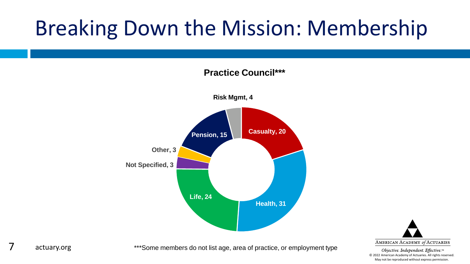**Practice Council\*\*\***



# AMERICAN ACADEMY of ACTUARIES

Objective. Independent. Effective.™ © 2022 American Academy of Actuaries. All rights reserved. May not be reproduced without express permission.

#### 7 actuary.org

\*\*\*Some members do not list age, area of practice, or employment type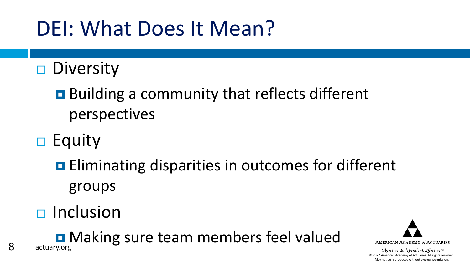#### DEI: What Does It Mean?

 $\square$  Diversity

Building a community that reflects different perspectives

 $\Box$  Equity

**Eliminating disparities in outcomes for different** groups

 $\Box$  Inclusion

8 actuary.org **D** Making sure team members feel valued

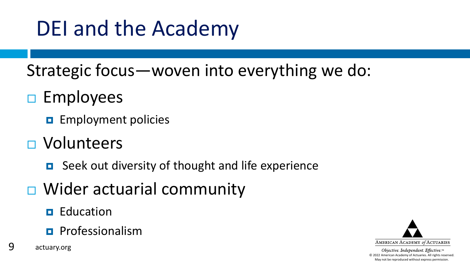## DEI and the Academy

Strategic focus—woven into everything we do:

#### $\square$  Employees

**E** Employment policies

- Volunteers
	- Seek out diversity of thought and life experience
- $\Box$  Wider actuarial community
	- $\blacksquare$  Education
	- **Professionalism**
- 9 actuary.org

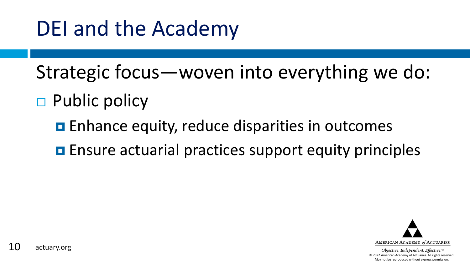#### DEI and the Academy

Strategic focus—woven into everything we do:

- $\Box$  Public policy
	- **E** Enhance equity, reduce disparities in outcomes
	- **E** Ensure actuarial practices support equity principles

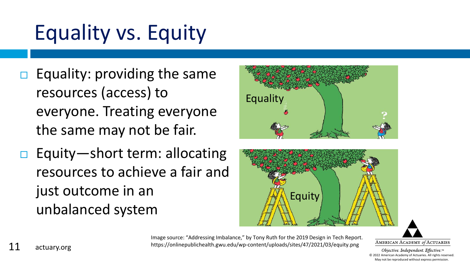# Equality vs. Equity

- $\Box$  Equality: providing the same resources (access) to everyone. Treating everyone the same may not be fair.
- Equity—short term: allocating resources to achieve a fair and just outcome in an unbalanced system





Image source: "Addressing Imbalance," by Tony Ruth for the 2019 Design in Tech Report. https://onlinepublichealth.gwu.edu/wp-content/uploads/sites/47/2021/03/equity.png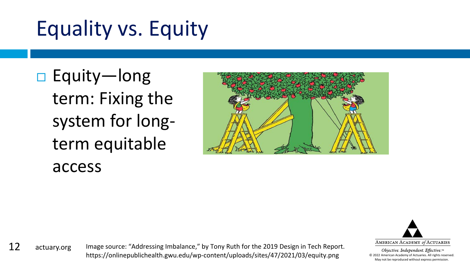# Equality vs. Equity

□ Equity—long term: Fixing the system for longterm equitable access





Objective. Independent. Effective.™ © 2022 American Academy of Actuaries. All rights reserved. May not be reproduced without express permission.

12 actuary.org

Image source: "Addressing Imbalance," by Tony Ruth for the 2019 Design in Tech Report. https://onlinepublichealth.gwu.edu/wp-content/uploads/sites/47/2021/03/equity.png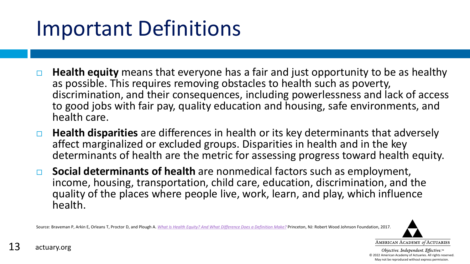#### Important Definitions

- **Health equity** means that everyone has a fair and just opportunity to be as healthy as possible. This requires removing obstacles to health such as poverty, discrimination, and their consequences, including powerlessness and lack of access to good jobs with fair pay, quality education and housing, safe environments, and health care.
- **Health disparities** are differences in health or its key determinants that adversely affect marginalized or excluded groups. Disparities in health and in the key determinants of health are the metric for assessing progress toward health equity.
- **Social determinants of health** are nonmedical factors such as employment, income, housing, transportation, child care, education, discrimination, and the quality of the places where people live, work, learn, and play, which influence health.

Source: Braveman P, Arkin E, Orleans T, Proctor D, and Plough A. *[What Is Health Equity? And What Difference Does a Definition Make?](https://www.rwjf.org/en/library/research/2017/05/what-is-health-equity-.html)* Princeton, NJ: Robert Wood Johnson Foundation, 2017.

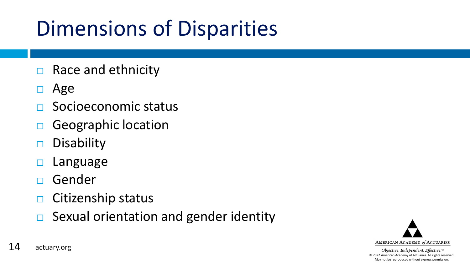### Dimensions of Disparities

- $\Box$  Race and ethnicity
- $\Box$  Age
- Socioeconomic status
- Geographic location
- $\Box$  Disability
- $\Box$  Language
- Gender
- $\Box$  Citizenship status
- $\Box$  Sexual orientation and gender identity

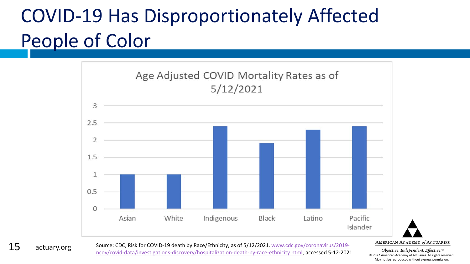#### COVID-19 Has Disproportionately Affected People of Color



AMERICAN ACADEMY of ACTUARIES

Objective. Independent. Effective.™ © 2022 American Academy of Actuaries. All rights reserved. May not be reproduced without express permission.

[Source: CDC, Risk for COVID-19 death by Race/Ethnicity, as of 5/12/2021. www.cdc.gov/coronavirus/2019](http://www.cdc.gov/coronavirus/2019-ncov/covid-data/investigations-discovery/hospitalization-death-by-race-ethnicity.html) ncov/covid-data/investigations-discovery/hospitalization-death-by-race-ethnicity.html, accessed 5-12-2021

15 actuary.org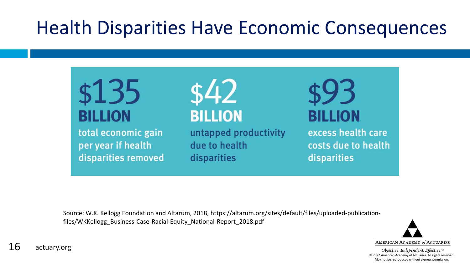#### Health Disparities Have Economic Consequences

\$135 **BILLION** 

total economic gain per year if health disparities removed \$42 **BILLION** 

untapped productivity due to health disparities

BILLION

excess health care costs due to health disparities

Source: W.K. Kellogg Foundation and Altarum, 2018, https://altarum.org/sites/default/files/uploaded-publicationfiles/WKKellogg\_Business-Case-Racial-Equity\_National-Report\_2018.pdf

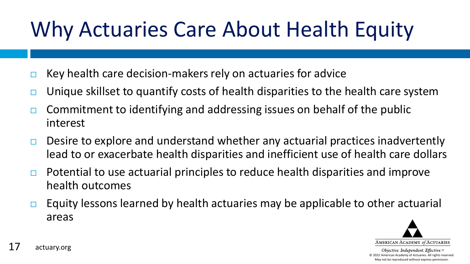# Why Actuaries Care About Health Equity

- Key health care decision-makers rely on actuaries for advice
- Unique skillset to quantify costs of health disparities to the health care system
- $\Box$  Commitment to identifying and addressing issues on behalf of the public interest
- $\Box$  Desire to explore and understand whether any actuarial practices inadvertently lead to or exacerbate health disparities and inefficient use of health care dollars
- $\Box$  Potential to use actuarial principles to reduce health disparities and improve health outcomes
- Equity lessons learned by health actuaries may be applicable to other actuarial areas

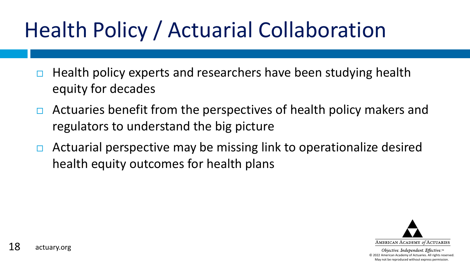# Health Policy / Actuarial Collaboration

- $\Box$  Health policy experts and researchers have been studying health equity for decades
- $\Box$  Actuaries benefit from the perspectives of health policy makers and regulators to understand the big picture
- $\Box$  Actuarial perspective may be missing link to operationalize desired health equity outcomes for health plans

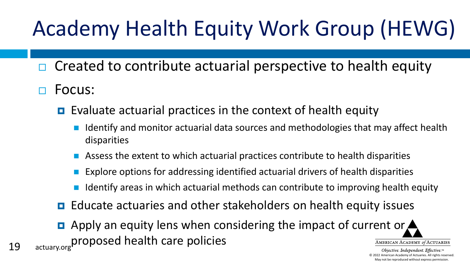# Academy Health Equity Work Group (HEWG)

- $\Box$  Created to contribute actuarial perspective to health equity
- Focus:
	- $\Box$  Evaluate actuarial practices in the context of health equity
		- Identify and monitor actuarial data sources and methodologies that may affect health disparities
		- Assess the extent to which actuarial practices contribute to health disparities
		- Explore options for addressing identified actuarial drivers of health disparities
		- Identify areas in which actuarial methods can contribute to improving health equity
	- **E** Educate actuaries and other stakeholders on health equity issues
- **Apply an equity lens when considering the impact of current or**  $\triangle$ proposed health care policiesAMERICAN ACADEMY of ACTUARIES 19 actuary.org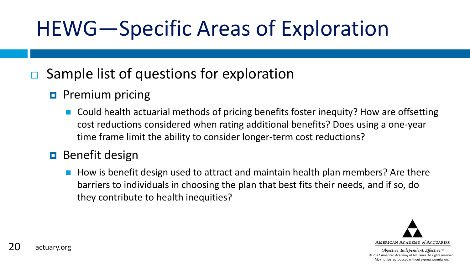## HEWG—Specific Areas of Exploration

#### Sample list of questions for exploration

- **Premium pricing** 
	- Could health actuarial methods of pricing benefits foster inequity? How are offsetting cost reductions considered when rating additional benefits? Does using a one-year time frame limit the ability to consider longer-term cost reductions?

#### **B** Benefit design

 $\blacksquare$  How is benefit design used to attract and maintain health plan members? Are there barriers to individuals in choosing the plan that best fits their needs, and if so, do they contribute to health inequities?

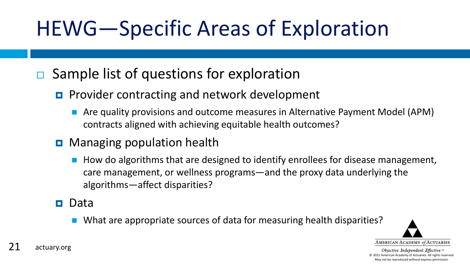# HEWG—Specific Areas of Exploration

#### $\Box$  Sample list of questions for exploration

- **Provider contracting and network development** 
	- Are quality provisions and outcome measures in Alternative Payment Model (APM) contracts aligned with achieving equitable health outcomes?
- **D** Managing population health
	- $\blacksquare$  How do algorithms that are designed to identify enrollees for disease management, care management, or wellness programs—and the proxy data underlying the algorithms—affect disparities?

#### n Data

■ What are appropriate sources of data for measuring health disparities?

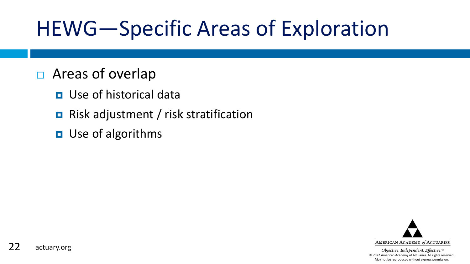## HEWG—Specific Areas of Exploration

- □ Areas of overlap
	- **<u>n</u>** Use of historical data
	- **Risk adjustment / risk stratification**
	- **D** Use of algorithms

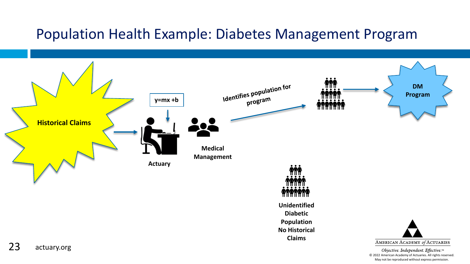#### Population Health Example: Diabetes Management Program

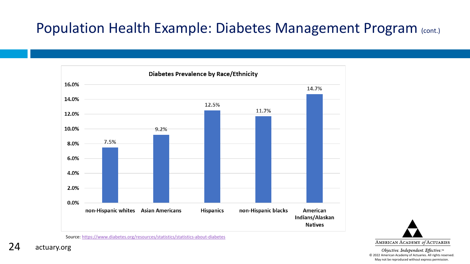#### Population Health Example: Diabetes Management Program (cont.)



Source: <https://www.diabetes.org/resources/statistics/statistics-about-diabetes>

Objective. Independent. Effective.™ © 2022 American Academy of Actuaries. All rights reserved. May not be reproduced without express permission.

24 actuary.org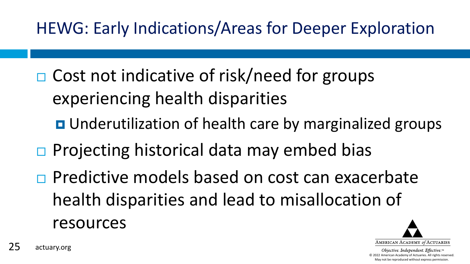HEWG: Early Indications/Areas for Deeper Exploration

- □ Cost not indicative of risk/need for groups experiencing health disparities
	- **D** Underutilization of health care by marginalized groups
- $\Box$  Projecting historical data may embed bias
- **Predictive models based on cost can exacerbate** health disparities and lead to misallocation of resources

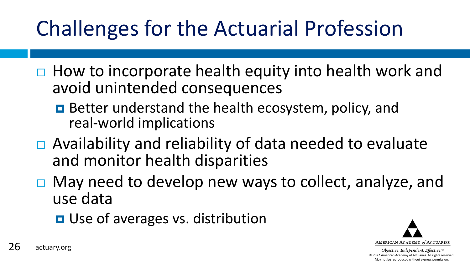# Challenges for the Actuarial Profession

- $\Box$  How to incorporate health equity into health work and avoid unintended consequences
	- **Better understand the health ecosystem, policy, and** real-world implications
- $\Box$  Availability and reliability of data needed to evaluate and monitor health disparities
- $\Box$  May need to develop new ways to collect, analyze, and use data
	- **D** Use of averages vs. distribution

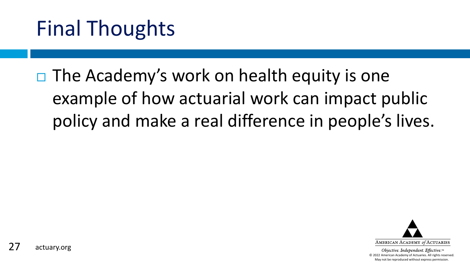## Final Thoughts

 $\Box$  The Academy's work on health equity is one example of how actuarial work can impact public policy and make a real difference in people's lives.